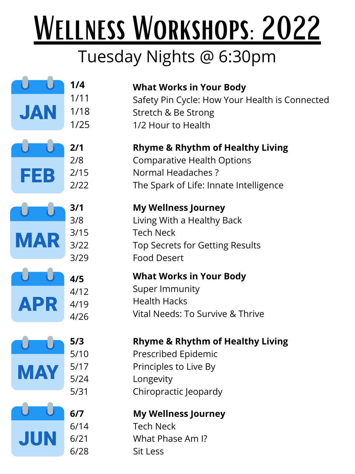# WELLNESS WORKSHOPS: 2022

# Tuesday Nights @ 6:30pm

# **What Works in Your Body**

Safety Pin Cycle: How Your Health is Connected Stretch & Be Strong 1/2 Hour to Health



# **Rhyme & Rhythm of Healthy Living**

Comparative Health Options Normal Headaches ? The Spark of Life: Innate Intelligence

# **My Wellness Journey**

Living With a Healthy Back Tech Neck

Top Secrets for Getting Results Food Desert

#### **What Works in Your Body**

Super Immunity Health Hacks Vital Needs: To Survive & Thrive

## **Rhyme & Rhythm of Healthy Living**

Prescribed Epidemic Principles to Live By Longevity Chiropractic Jeopardy

### **My Wellness Journey**

Tech Neck What Phase Am I? Sit Less